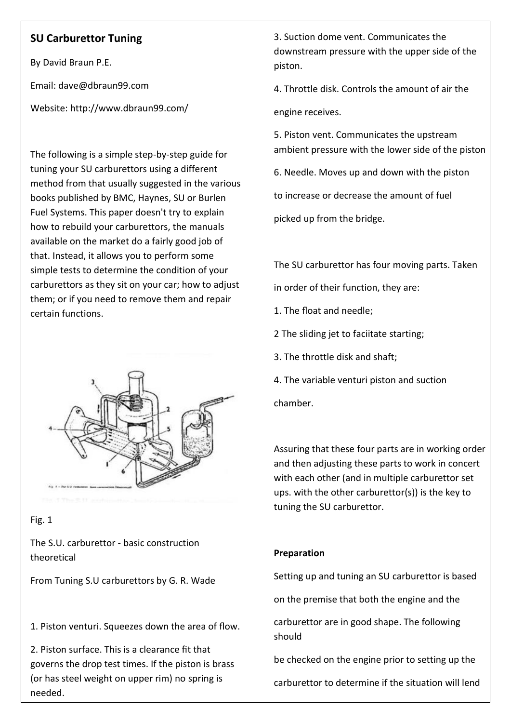# **SU Carburettor Tuning**

By David Braun P.E.

Email: dave@dbraun99.com

Website: http://www.dbraun99.com/

The following is a simple step-by-step guide for tuning your SU carburettors using a different method from that usually suggested in the various books published by BMC, Haynes, SU or Burlen Fuel Systems. This paper doesn't try to explain how to rebuild your carburettors, the manuals available on the market do a fairly good job of that. Instead, it allows you to perform some simple tests to determine the condition of your carburettors as they sit on your car; how to adjust them; or if you need to remove them and repair certain functions.



# Fig. 1

The S.U. carburettor - basic construction theoretical

From Tuning S.U carburettors by G. R. Wade

1. Piston venturi. Squeezes down the area of flow.

2. Piston surface. This is a clearance fit that governs the drop test times. If the piston is brass (or has steel weight on upper rim) no spring is needed.

3. Suction dome vent. Communicates the downstream pressure with the upper side of the piston.

4. Throttle disk. Controls the amount of air the engine receives.

5. Piston vent. Communicates the upstream ambient pressure with the lower side of the piston

6. Needle. Moves up and down with the piston

to increase or decrease the amount of fuel

picked up from the bridge.

The SU carburettor has four moving parts. Taken

in order of their function, they are:

1. The float and needle;

2 The sliding jet to faciitate starting;

3. The throttle disk and shaft;

4. The variable venturi piston and suction

chamber.

Assuring that these four parts are in working order and then adjusting these parts to work in concert with each other (and in multiple carburettor set ups. with the other carburettor(s)) is the key to tuning the SU carburettor.

# **Preparation**

Setting up and tuning an SU carburettor is based

on the premise that both the engine and the

carburettor are in good shape. The following should

be checked on the engine prior to setting up the

carburettor to determine if the situation will lend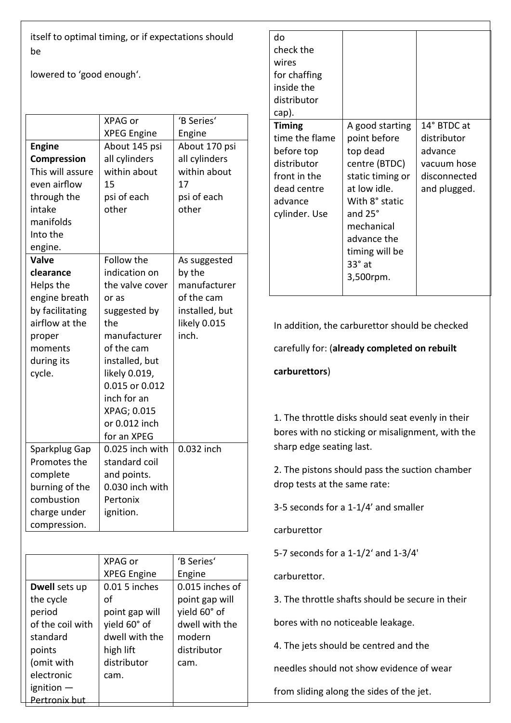itself to optimal timing, or if expectations should be

lowered to 'good enough'.

|                  | XPAG or            | 'B Series'     |
|------------------|--------------------|----------------|
|                  | <b>XPEG Engine</b> | Engine         |
| <b>Engine</b>    | About 145 psi      | About 170 psi  |
| Compression      | all cylinders      | all cylinders  |
| This will assure | within about       | within about   |
| even airflow     | 15                 | 17             |
| through the      | psi of each        | psi of each    |
| intake           | other              | other          |
| manifolds        |                    |                |
| Into the         |                    |                |
| engine.          |                    |                |
| Valve            | Follow the         | As suggested   |
| clearance        | indication on      | by the         |
| Helps the        | the valve cover    | manufacturer   |
| engine breath    | or as              | of the cam     |
| by facilitating  | suggested by       | installed, but |
| airflow at the   | the                | likely 0.015   |
| proper           | manufacturer       | inch.          |
| moments          | of the cam         |                |
| during its       | installed, but     |                |
| cycle.           | likely 0.019,      |                |
|                  | 0.015 or 0.012     |                |
|                  | inch for an        |                |
|                  | XPAG; 0.015        |                |
|                  | or 0.012 inch      |                |
|                  | for an XPEG        |                |
| Sparkplug Gap    | 0.025 inch with    | 0.032 inch     |
| Promotes the     | standard coil      |                |
| complete         | and points.        |                |
| burning of the   | 0.030 inch with    |                |
| combustion       | Pertonix           |                |
| charge under     | ignition.          |                |
| compression.     |                    |                |

|                      | XPAG or            | 'B Series'      |
|----------------------|--------------------|-----------------|
|                      | <b>XPEG Engine</b> | Engine          |
| Dwell sets up        | 0.01 5 inches      | 0.015 inches of |
| the cycle            | οf                 | point gap will  |
| period               | point gap will     | yield 60° of    |
| of the coil with     | yield 60° of       | dwell with the  |
| standard             | dwell with the     | modern          |
| points               | high lift          | distributor     |
| (omit with           | distributor        | cam.            |
| electronic           | cam.               |                 |
| ignition $-$         |                    |                 |
| <u>Pertronix hut</u> |                    |                 |

| do             |                  |              |
|----------------|------------------|--------------|
| check the      |                  |              |
| wires          |                  |              |
| for chaffing   |                  |              |
| inside the     |                  |              |
| distributor    |                  |              |
| cap).          |                  |              |
| <b>Timing</b>  | A good starting  | 14° BTDC at  |
| time the flame | point before     | distributor  |
| before top     | top dead         | advance      |
| distributor    | centre (BTDC)    | vacuum hose  |
| front in the   | static timing or | disconnected |
| dead centre    | at low idle.     | and plugged. |
| advance        | With 8° static   |              |
| cylinder. Use  | and 25°          |              |
|                | mechanical       |              |
|                | advance the      |              |
|                | timing will be   |              |
|                | $33^\circ$ at    |              |
|                | 3,500rpm.        |              |
|                |                  |              |

In addition, the carburettor should be checked

carefully for: (**already completed on rebuilt**

# **carburettors**)

1. The throttle disks should seat evenly in their bores with no sticking or misalignment, with the sharp edge seating last.

2. The pistons should pass the suction chamber drop tests at the same rate:

3-5 seconds for a 1-1/4' and smaller

carburettor

5-7 seconds for a 1-1/2' and 1-3/4'

carburettor.

3. The throttle shafts should be secure in their

bores with no noticeable leakage.

4. The jets should be centred and the

needles should not show evidence of wear

from sliding along the sides of the jet.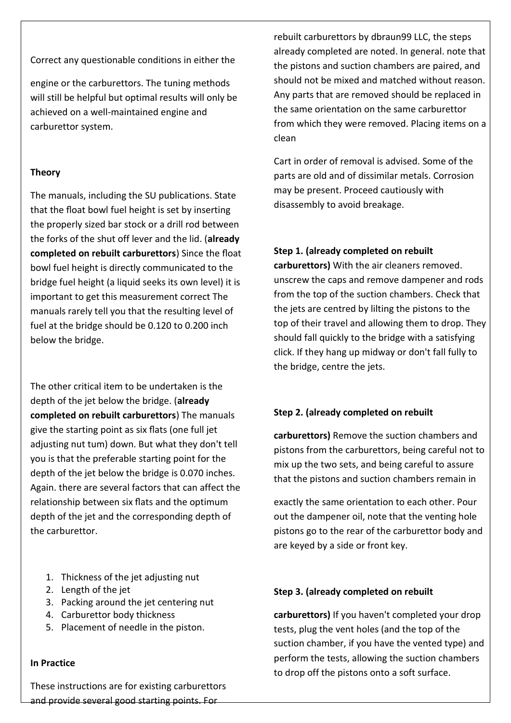Correct any questionable conditions in either the

engine or the carburettors. The tuning methods will still be helpful but optimal results will only be achieved on a well-maintained engine and carburettor system.

# **Theory**

The manuals, including the SU publications. State that the float bowl fuel height is set by inserting the properly sized bar stock or a drill rod between the forks of the shut off lever and the lid. (**already completed on rebuilt carburettors**) Since the float bowl fuel height is directly communicated to the bridge fuel height (a liquid seeks its own level) it is important to get this measurement correct The manuals rarely tell you that the resulting level of fuel at the bridge should be 0.120 to 0.200 inch below the bridge.

The other critical item to be undertaken is the depth of the jet below the bridge. (**already completed on rebuilt carburettors**) The manuals give the starting point as six flats (one full jet adjusting nut tum) down. But what they don't tell you is that the preferable starting point for the depth of the jet below the bridge is 0.070 inches. Again. there are several factors that can affect the relationship between six flats and the optimum depth of the jet and the corresponding depth of the carburettor.

- 1. Thickness of the jet adjusting nut
- 2. Length of the jet
- 3. Packing around the jet centering nut
- 4. Carburettor body thickness
- 5. Placement of needle in the piston.

# **In Practice**

These instructions are for existing carburettors and provide several good starting points. For

rebuilt carburettors by dbraun99 LLC, the steps already completed are noted. In general. note that the pistons and suction chambers are paired, and should not be mixed and matched without reason. Any parts that are removed should be replaced in the same orientation on the same carburettor from which they were removed. Placing items on a clean

Cart in order of removal is advised. Some of the parts are old and of dissimilar metals. Corrosion may be present. Proceed cautiously with disassembly to avoid breakage.

## **Step 1. (already completed on rebuilt**

**carburettors)** With the air cleaners removed. unscrew the caps and remove dampener and rods from the top of the suction chambers. Check that the jets are centred by lilting the pistons to the top of their travel and allowing them to drop. They should fall quickly to the bridge with a satisfying click. If they hang up midway or don't fall fully to the bridge, centre the jets.

# **Step 2. (already completed on rebuilt**

**carburettors)** Remove the suction chambers and pistons from the carburettors, being careful not to mix up the two sets, and being careful to assure that the pistons and suction chambers remain in

exactly the same orientation to each other. Pour out the dampener oil, note that the venting hole pistons go to the rear of the carburettor body and are keyed by a side or front key.

## **Step 3. (already completed on rebuilt**

**carburettors)** If you haven't completed your drop tests, plug the vent holes (and the top of the suction chamber, if you have the vented type) and perform the tests, allowing the suction chambers to drop off the pistons onto a soft surface.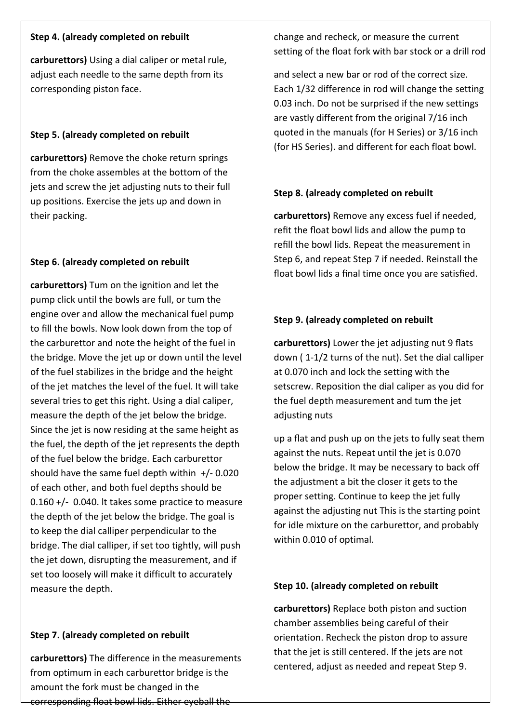### **Step 4. (already completed on rebuilt**

**carburettors)** Using a dial caliper or metal rule, adjust each needle to the same depth from its corresponding piston face.

### **Step 5. (already completed on rebuilt**

**carburettors)** Remove the choke return springs from the choke assembles at the bottom of the jets and screw the jet adjusting nuts to their full up positions. Exercise the jets up and down in their packing.

## **Step 6. (already completed on rebuilt**

**carburettors)** Tum on the ignition and let the pump click until the bowls are full, or tum the engine over and allow the mechanical fuel pump to fill the bowls. Now look down from the top of the carburettor and note the height of the fuel in the bridge. Move the jet up or down until the level of the fuel stabilizes in the bridge and the height of the jet matches the level of the fuel. It will take several tries to get this right. Using a dial caliper, measure the depth of the jet below the bridge. Since the jet is now residing at the same height as the fuel, the depth of the jet represents the depth of the fuel below the bridge. Each carburettor should have the same fuel depth within  $+/- 0.020$ of each other, and both fuel depths should be 0.160 +/- 0.040. lt takes some practice to measure the depth of the jet below the bridge. The goal is to keep the dial calliper perpendicular to the bridge. The dial calliper, if set too tightly, will push the jet down, disrupting the measurement, and if set too loosely will make it difficult to accurately measure the depth.

#### **Step 7. (already completed on rebuilt**

**carburettors)** The difference in the measurements from optimum in each carburettor bridge is the amount the fork must be changed in the corresponding float bowl lids. Either eyeball the

change and recheck, or measure the current setting of the float fork with bar stock or a drill rod

and select a new bar or rod of the correct size. Each 1/32 difference in rod will change the setting 0.03 inch. Do not be surprised if the new settings are vastly different from the original 7/16 inch quoted in the manuals (for H Series) or 3/16 inch (for HS Series). and different for each float bowl.

### **Step 8. (already completed on rebuilt**

**carburettors)** Remove any excess fuel if needed, refit the float bowl lids and allow the pump to refill the bowl lids. Repeat the measurement in Step 6, and repeat Step 7 if needed. Reinstall the float bowl lids a final time once you are satisfied.

### **Step 9. (already completed on rebuilt**

**carburettors)** Lower the jet adjusting nut 9 flats down ( 1-1/2 turns of the nut). Set the dial calliper at 0.070 inch and lock the setting with the setscrew. Reposition the dial caliper as you did for the fuel depth measurement and tum the jet adjusting nuts

up a flat and push up on the jets to fully seat them against the nuts. Repeat until the jet is 0.070 below the bridge. It may be necessary to back off the adjustment a bit the closer it gets to the proper setting. Continue to keep the jet fully against the adjusting nut This is the starting point for idle mixture on the carburettor, and probably within 0.010 of optimal.

#### **Step 10. (already completed on rebuilt**

**carburettors)** Replace both piston and suction chamber assemblies being careful of their orientation. Recheck the piston drop to assure that the jet is still centered. lf the jets are not centered, adjust as needed and repeat Step 9.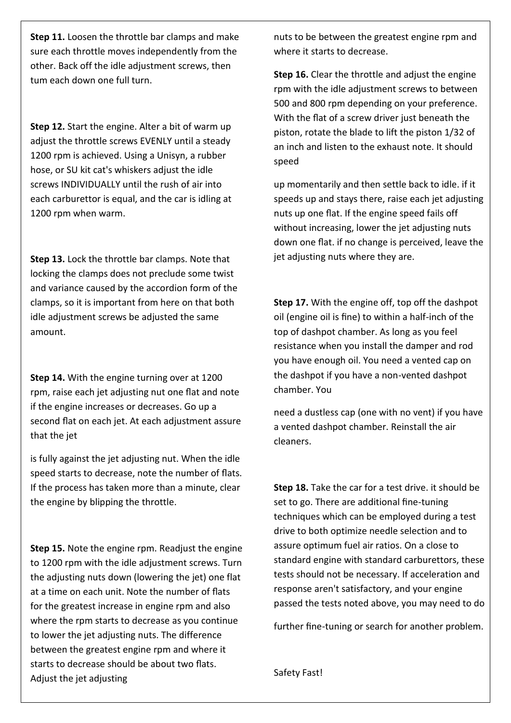**Step 11.** Loosen the throttle bar clamps and make sure each throttle moves independently from the other. Back off the idle adjustment screws, then tum each down one full turn.

**Step 12.** Start the engine. Alter a bit of warm up adjust the throttle screws EVENLY until a steady 1200 rpm is achieved. Using a Unisyn, a rubber hose, or SU kit cat's whiskers adjust the idle screws INDIVIDUALLY until the rush of air into each carburettor is equal, and the car is idling at 1200 rpm when warm.

**Step 13.** Lock the throttle bar clamps. Note that locking the clamps does not preclude some twist and variance caused by the accordion form of the clamps, so it is important from here on that both idle adjustment screws be adjusted the same amount.

**Step 14.** With the engine turning over at 1200 rpm, raise each jet adjusting nut one flat and note if the engine increases or decreases. Go up a second flat on each jet. At each adjustment assure that the jet

is fully against the jet adjusting nut. When the idle speed starts to decrease, note the number of flats. If the process has taken more than a minute, clear the engine by blipping the throttle.

**Step 15.** Note the engine rpm. Readjust the engine to 1200 rpm with the idle adjustment screws. Turn the adjusting nuts down (lowering the jet) one flat at a time on each unit. Note the number of flats for the greatest increase in engine rpm and also where the rpm starts to decrease as you continue to lower the jet adjusting nuts. The difference between the greatest engine rpm and where it starts to decrease should be about two flats. Adjust the jet adjusting

nuts to be between the greatest engine rpm and where it starts to decrease.

**Step 16.** Clear the throttle and adjust the engine rpm with the idle adjustment screws to between 500 and 800 rpm depending on your preference. With the flat of a screw driver just beneath the piston, rotate the blade to lift the piston 1/32 of an inch and listen to the exhaust note. It should speed

up momentarily and then settle back to idle. if it speeds up and stays there, raise each jet adjusting nuts up one flat. If the engine speed fails off without increasing, lower the jet adjusting nuts down one flat. if no change is perceived, leave the jet adjusting nuts where they are.

**Step 17.** With the engine off, top off the dashpot oil (engine oil is fine) to within a half-inch of the top of dashpot chamber. As long as you feel resistance when you install the damper and rod you have enough oil. You need a vented cap on the dashpot if you have a non-vented dashpot chamber. You

need a dustless cap (one with no vent) if you have a vented dashpot chamber. Reinstall the air cleaners.

**Step 18.** Take the car for a test drive. it should be set to go. There are additional fine-tuning techniques which can be employed during a test drive to both optimize needle selection and to assure optimum fuel air ratios. On a close to standard engine with standard carburettors, these tests should not be necessary. If acceleration and response aren't satisfactory, and your engine passed the tests noted above, you may need to do

further fine-tuning or search for another problem.

Safety Fast!